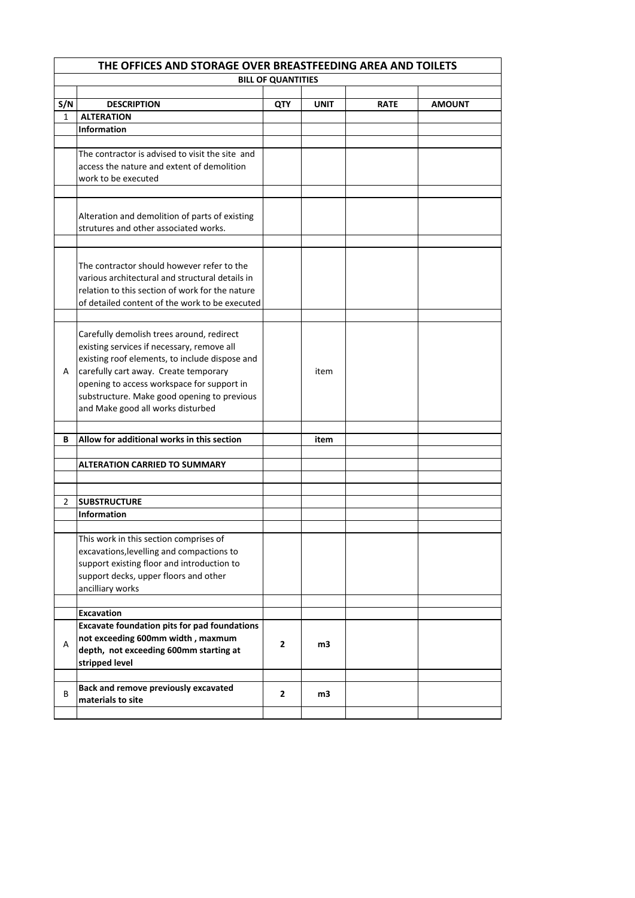|     | THE OFFICES AND STORAGE OVER BREASTFEEDING AREA AND TOILETS |                           |      |             |               |  |
|-----|-------------------------------------------------------------|---------------------------|------|-------------|---------------|--|
|     |                                                             | <b>BILL OF QUANTITIES</b> |      |             |               |  |
|     |                                                             |                           |      |             |               |  |
| S/N | <b>DESCRIPTION</b>                                          | QTY                       | UNIT | <b>RATE</b> | <b>AMOUNT</b> |  |
| 1   | <b>ALTERATION</b>                                           |                           |      |             |               |  |
|     | <b>Information</b>                                          |                           |      |             |               |  |
|     |                                                             |                           |      |             |               |  |
|     | The contractor is advised to visit the site and             |                           |      |             |               |  |
|     | access the nature and extent of demolition                  |                           |      |             |               |  |
|     | work to be executed                                         |                           |      |             |               |  |
|     |                                                             |                           |      |             |               |  |
|     | Alteration and demolition of parts of existing              |                           |      |             |               |  |
|     | strutures and other associated works.                       |                           |      |             |               |  |
|     |                                                             |                           |      |             |               |  |
|     |                                                             |                           |      |             |               |  |
|     | The contractor should however refer to the                  |                           |      |             |               |  |
|     | various architectural and structural details in             |                           |      |             |               |  |
|     | relation to this section of work for the nature             |                           |      |             |               |  |
|     | of detailed content of the work to be executed              |                           |      |             |               |  |
|     |                                                             |                           |      |             |               |  |
|     | Carefully demolish trees around, redirect                   |                           |      |             |               |  |
|     | existing services if necessary, remove all                  |                           |      |             |               |  |
|     | existing roof elements, to include dispose and              |                           |      |             |               |  |
| A   | carefully cart away. Create temporary                       |                           | item |             |               |  |
|     | opening to access workspace for support in                  |                           |      |             |               |  |
|     | substructure. Make good opening to previous                 |                           |      |             |               |  |
|     | and Make good all works disturbed                           |                           |      |             |               |  |
|     |                                                             |                           |      |             |               |  |
| В   | Allow for additional works in this section                  |                           | item |             |               |  |
|     | <b>ALTERATION CARRIED TO SUMMARY</b>                        |                           |      |             |               |  |
|     |                                                             |                           |      |             |               |  |
|     |                                                             |                           |      |             |               |  |
| 2   | <b>SUBSTRUCTURE</b>                                         |                           |      |             |               |  |
|     | <b>Information</b>                                          |                           |      |             |               |  |
|     |                                                             |                           |      |             |               |  |
|     | This work in this section comprises of                      |                           |      |             |               |  |
|     | excavations, levelling and compactions to                   |                           |      |             |               |  |
|     | support existing floor and introduction to                  |                           |      |             |               |  |
|     | support decks, upper floors and other                       |                           |      |             |               |  |
|     | ancilliary works                                            |                           |      |             |               |  |
|     |                                                             |                           |      |             |               |  |
|     | <b>Excavation</b>                                           |                           |      |             |               |  |
|     | <b>Excavate foundation pits for pad foundations</b>         |                           |      |             |               |  |
| A   | not exceeding 600mm width, maxmum                           | $\overline{2}$            | m3   |             |               |  |
|     | depth, not exceeding 600mm starting at                      |                           |      |             |               |  |
|     | stripped level                                              |                           |      |             |               |  |
|     |                                                             |                           |      |             |               |  |
| В   | Back and remove previously excavated                        | 2                         | m3   |             |               |  |
|     | materials to site                                           |                           |      |             |               |  |
|     |                                                             |                           |      |             |               |  |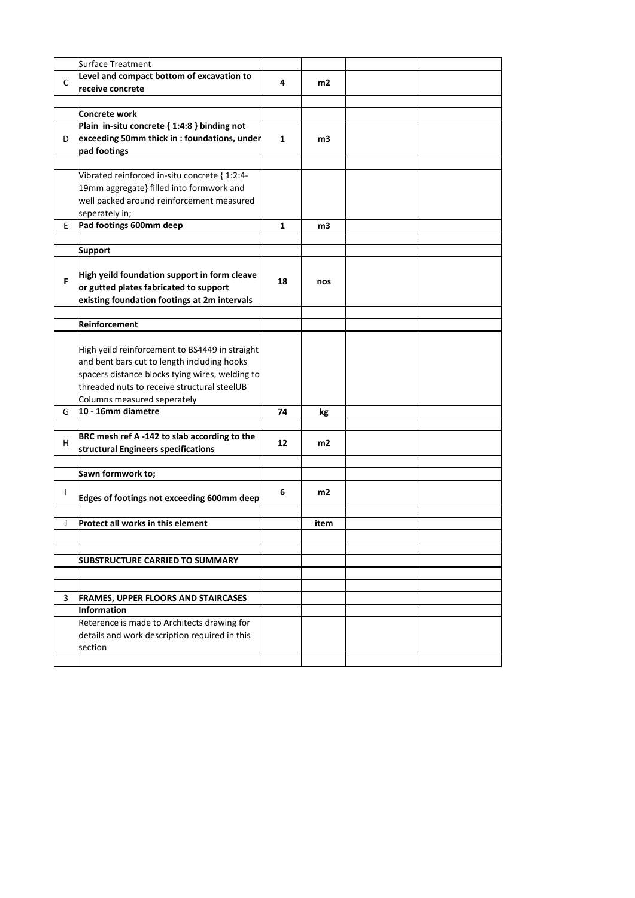|              | <b>Surface Treatment</b>                                                                      |    |      |  |
|--------------|-----------------------------------------------------------------------------------------------|----|------|--|
| C            | Level and compact bottom of excavation to                                                     | 4  | m2   |  |
|              | receive concrete                                                                              |    |      |  |
|              |                                                                                               |    |      |  |
|              | <b>Concrete work</b>                                                                          |    |      |  |
|              | Plain in-situ concrete { 1:4:8 } binding not                                                  |    |      |  |
| D            | exceeding 50mm thick in : foundations, under                                                  | 1  | m3   |  |
|              | pad footings                                                                                  |    |      |  |
|              |                                                                                               |    |      |  |
|              | Vibrated reinforced in-situ concrete { 1:2:4-                                                 |    |      |  |
|              | 19mm aggregate} filled into formwork and                                                      |    |      |  |
|              | well packed around reinforcement measured                                                     |    |      |  |
|              | seperately in;                                                                                |    |      |  |
| E            | Pad footings 600mm deep                                                                       | 1  | m3   |  |
|              |                                                                                               |    |      |  |
|              | <b>Support</b>                                                                                |    |      |  |
|              |                                                                                               |    |      |  |
| F            | High yeild foundation support in form cleave                                                  | 18 | nos  |  |
|              | or gutted plates fabricated to support                                                        |    |      |  |
|              | existing foundation footings at 2m intervals                                                  |    |      |  |
|              |                                                                                               |    |      |  |
|              | Reinforcement                                                                                 |    |      |  |
|              |                                                                                               |    |      |  |
|              | High yeild reinforcement to BS4449 in straight<br>and bent bars cut to length including hooks |    |      |  |
|              | spacers distance blocks tying wires, welding to                                               |    |      |  |
|              | threaded nuts to receive structural steelUB                                                   |    |      |  |
|              | Columns measured seperately                                                                   |    |      |  |
| G            | 10 - 16mm diametre                                                                            | 74 |      |  |
|              |                                                                                               |    | kg   |  |
|              | BRC mesh ref A -142 to slab according to the                                                  |    |      |  |
| н            | structural Engineers specifications                                                           | 12 | m2   |  |
|              |                                                                                               |    |      |  |
|              | Sawn formwork to;                                                                             |    |      |  |
|              |                                                                                               |    |      |  |
| $\mathbf{I}$ | Edges of footings not exceeding 600mm deep                                                    | 6  | m2   |  |
|              |                                                                                               |    |      |  |
| J            | Protect all works in this element                                                             |    | item |  |
|              |                                                                                               |    |      |  |
|              |                                                                                               |    |      |  |
|              | <b>SUBSTRUCTURE CARRIED TO SUMMARY</b>                                                        |    |      |  |
|              |                                                                                               |    |      |  |
|              |                                                                                               |    |      |  |
| 3            | <b>FRAMES, UPPER FLOORS AND STAIRCASES</b>                                                    |    |      |  |
|              | Information                                                                                   |    |      |  |
|              | Reterence is made to Architects drawing for                                                   |    |      |  |
|              | details and work description required in this                                                 |    |      |  |
|              | section                                                                                       |    |      |  |
|              |                                                                                               |    |      |  |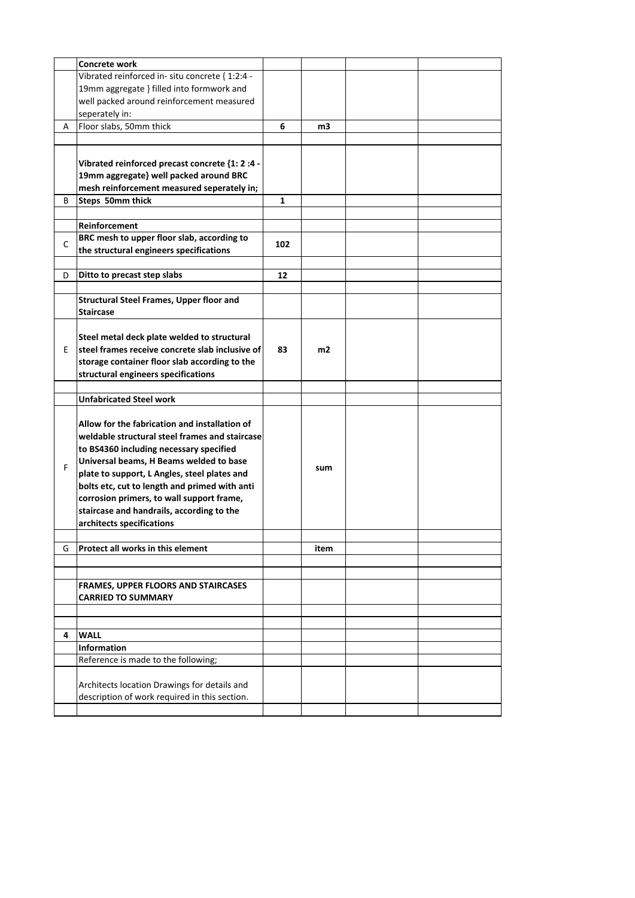|    | Concrete work                                   |     |      |  |
|----|-------------------------------------------------|-----|------|--|
|    | Vibrated reinforced in-situ concrete { 1:2:4 -  |     |      |  |
|    | 19mm aggregate } filled into formwork and       |     |      |  |
|    | well packed around reinforcement measured       |     |      |  |
|    | seperately in:                                  |     |      |  |
| Α  | Floor slabs, 50mm thick                         | 6   | m3   |  |
|    |                                                 |     |      |  |
|    |                                                 |     |      |  |
|    | Vibrated reinforced precast concrete {1: 2 :4 - |     |      |  |
|    | 19mm aggregate} well packed around BRC          |     |      |  |
|    | mesh reinforcement measured seperately in;      |     |      |  |
| В  | Steps 50mm thick                                | 1   |      |  |
|    |                                                 |     |      |  |
|    | Reinforcement                                   |     |      |  |
|    | BRC mesh to upper floor slab, according to      |     |      |  |
| C  | the structural engineers specifications         | 102 |      |  |
|    |                                                 |     |      |  |
|    | Ditto to precast step slabs                     |     |      |  |
| D  |                                                 | 12  |      |  |
|    |                                                 |     |      |  |
|    | <b>Structural Steel Frames, Upper floor and</b> |     |      |  |
|    | <b>Staircase</b>                                |     |      |  |
|    |                                                 |     |      |  |
|    | Steel metal deck plate welded to structural     |     |      |  |
| E. | steel frames receive concrete slab inclusive of | 83  | m2   |  |
|    | storage container floor slab according to the   |     |      |  |
|    | structural engineers specifications             |     |      |  |
|    |                                                 |     |      |  |
|    | <b>Unfabricated Steel work</b>                  |     |      |  |
|    |                                                 |     |      |  |
|    | Allow for the fabrication and installation of   |     |      |  |
|    | weldable structural steel frames and staircase  |     |      |  |
|    | to BS4360 including necessary specified         |     |      |  |
| F  | Universal beams, H Beams welded to base         |     | sum  |  |
|    | plate to support, L Angles, steel plates and    |     |      |  |
|    | bolts etc, cut to length and primed with anti   |     |      |  |
|    | corrosion primers, to wall support frame,       |     |      |  |
|    | staircase and handrails, according to the       |     |      |  |
|    | architects specifications                       |     |      |  |
|    |                                                 |     |      |  |
| G  | <b>Protect all works in this element</b>        |     | item |  |
|    |                                                 |     |      |  |
|    |                                                 |     |      |  |
|    | <b>FRAMES, UPPER FLOORS AND STAIRCASES</b>      |     |      |  |
|    | <b>CARRIED TO SUMMARY</b>                       |     |      |  |
|    |                                                 |     |      |  |
|    |                                                 |     |      |  |
| 4  | <b>WALL</b>                                     |     |      |  |
|    | Information                                     |     |      |  |
|    | Reference is made to the following;             |     |      |  |
|    |                                                 |     |      |  |
|    | Architects location Drawings for details and    |     |      |  |
|    | description of work required in this section.   |     |      |  |
|    |                                                 |     |      |  |
|    |                                                 |     |      |  |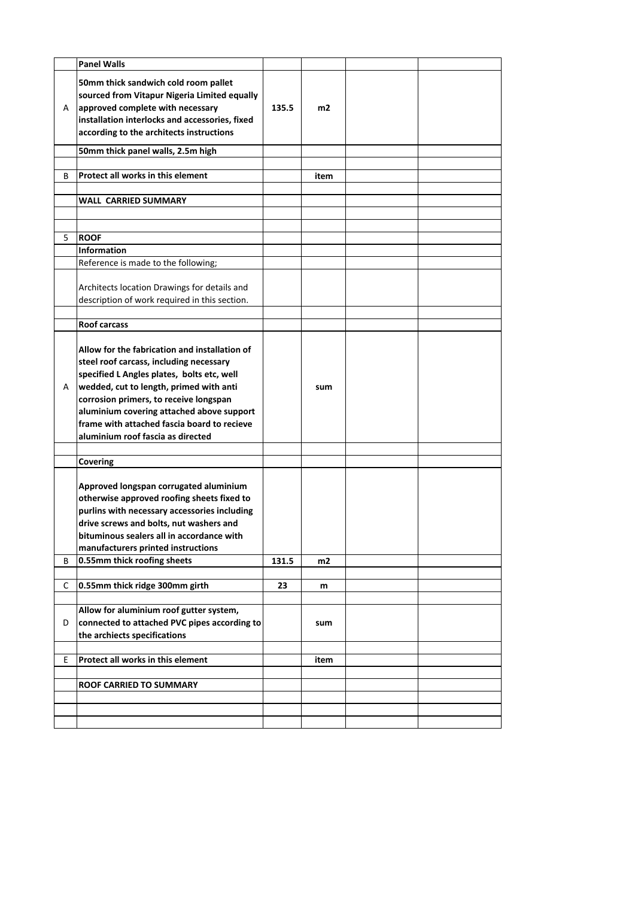|    | <b>Panel Walls</b>                                                                                                                                                                                                                                                                                                                                           |       |      |  |
|----|--------------------------------------------------------------------------------------------------------------------------------------------------------------------------------------------------------------------------------------------------------------------------------------------------------------------------------------------------------------|-------|------|--|
| A  | 50mm thick sandwich cold room pallet<br>sourced from Vitapur Nigeria Limited equally<br>approved complete with necessary<br>installation interlocks and accessories, fixed<br>according to the architects instructions                                                                                                                                       | 135.5 | m2   |  |
|    | 50mm thick panel walls, 2.5m high                                                                                                                                                                                                                                                                                                                            |       |      |  |
| В  | Protect all works in this element                                                                                                                                                                                                                                                                                                                            |       | item |  |
|    |                                                                                                                                                                                                                                                                                                                                                              |       |      |  |
|    | <b>WALL CARRIED SUMMARY</b>                                                                                                                                                                                                                                                                                                                                  |       |      |  |
|    |                                                                                                                                                                                                                                                                                                                                                              |       |      |  |
|    |                                                                                                                                                                                                                                                                                                                                                              |       |      |  |
| 5  | <b>ROOF</b>                                                                                                                                                                                                                                                                                                                                                  |       |      |  |
|    | <b>Information</b>                                                                                                                                                                                                                                                                                                                                           |       |      |  |
|    | Reference is made to the following;                                                                                                                                                                                                                                                                                                                          |       |      |  |
|    | Architects location Drawings for details and<br>description of work required in this section.                                                                                                                                                                                                                                                                |       |      |  |
|    |                                                                                                                                                                                                                                                                                                                                                              |       |      |  |
|    | <b>Roof carcass</b>                                                                                                                                                                                                                                                                                                                                          |       |      |  |
| A  | Allow for the fabrication and installation of<br>steel roof carcass, including necessary<br>specified L Angles plates, bolts etc, well<br>wedded, cut to length, primed with anti<br>corrosion primers, to receive longspan<br>aluminium covering attached above support<br>frame with attached fascia board to recieve<br>aluminium roof fascia as directed |       | sum  |  |
|    | Covering                                                                                                                                                                                                                                                                                                                                                     |       |      |  |
|    | Approved longspan corrugated aluminium<br>otherwise approved roofing sheets fixed to<br>purlins with necessary accessories including<br>drive screws and bolts, nut washers and<br>bituminous sealers all in accordance with<br>manufacturers printed instructions                                                                                           |       |      |  |
| В  | 0.55mm thick roofing sheets                                                                                                                                                                                                                                                                                                                                  | 131.5 | m2   |  |
| С  | 0.55mm thick ridge 300mm girth                                                                                                                                                                                                                                                                                                                               | 23    | m    |  |
|    |                                                                                                                                                                                                                                                                                                                                                              |       |      |  |
| D  | Allow for aluminium roof gutter system,<br>connected to attached PVC pipes according to<br>the archiects specifications                                                                                                                                                                                                                                      |       | sum  |  |
| E. | Protect all works in this element                                                                                                                                                                                                                                                                                                                            |       | item |  |
|    |                                                                                                                                                                                                                                                                                                                                                              |       |      |  |
|    | ROOF CARRIED TO SUMMARY                                                                                                                                                                                                                                                                                                                                      |       |      |  |
|    |                                                                                                                                                                                                                                                                                                                                                              |       |      |  |
|    |                                                                                                                                                                                                                                                                                                                                                              |       |      |  |
|    |                                                                                                                                                                                                                                                                                                                                                              |       |      |  |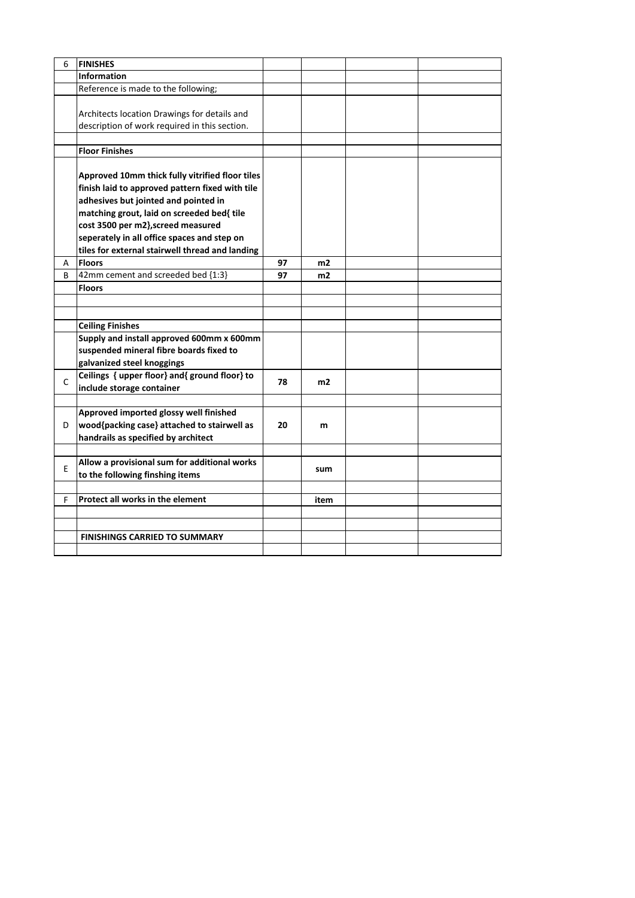| 6 | <b>FINISHES</b>                                 |    |      |  |
|---|-------------------------------------------------|----|------|--|
|   | <b>Information</b>                              |    |      |  |
|   | Reference is made to the following;             |    |      |  |
|   |                                                 |    |      |  |
|   | Architects location Drawings for details and    |    |      |  |
|   | description of work required in this section.   |    |      |  |
|   |                                                 |    |      |  |
|   | <b>Floor Finishes</b>                           |    |      |  |
|   |                                                 |    |      |  |
|   | Approved 10mm thick fully vitrified floor tiles |    |      |  |
|   | finish laid to approved pattern fixed with tile |    |      |  |
|   | adhesives but jointed and pointed in            |    |      |  |
|   | matching grout, laid on screeded bed{ tile      |    |      |  |
|   | cost 3500 per m2}, screed measured              |    |      |  |
|   | seperately in all office spaces and step on     |    |      |  |
|   | tiles for external stairwell thread and landing |    |      |  |
| А | <b>Floors</b>                                   | 97 | m2   |  |
| B | 42mm cement and screeded bed {1:3}              | 97 | m2   |  |
|   | <b>Floors</b>                                   |    |      |  |
|   |                                                 |    |      |  |
|   |                                                 |    |      |  |
|   | <b>Ceiling Finishes</b>                         |    |      |  |
|   | Supply and install approved 600mm x 600mm       |    |      |  |
|   | suspended mineral fibre boards fixed to         |    |      |  |
|   | galvanized steel knoggings                      |    |      |  |
| C | Ceilings { upper floor} and{ ground floor} to   | 78 | m2   |  |
|   | include storage container                       |    |      |  |
|   |                                                 |    |      |  |
|   | Approved imported glossy well finished          |    |      |  |
| D | wood{packing case} attached to stairwell as     | 20 | m    |  |
|   | handrails as specified by architect             |    |      |  |
|   |                                                 |    |      |  |
| E | Allow a provisional sum for additional works    |    | sum  |  |
|   | to the following finshing items                 |    |      |  |
|   |                                                 |    |      |  |
| F | Protect all works in the element                |    | item |  |
|   |                                                 |    |      |  |
|   |                                                 |    |      |  |
|   | <b>FINISHINGS CARRIED TO SUMMARY</b>            |    |      |  |
|   |                                                 |    |      |  |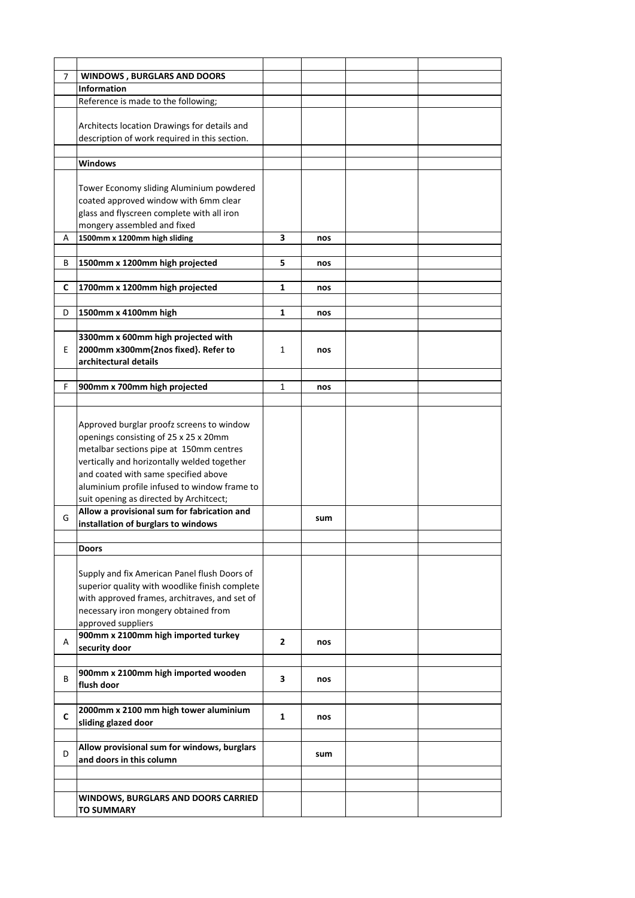| 7  | <b>WINDOWS, BURGLARS AND DOORS</b>             |              |     |  |
|----|------------------------------------------------|--------------|-----|--|
|    | <b>Information</b>                             |              |     |  |
|    |                                                |              |     |  |
|    | Reference is made to the following;            |              |     |  |
|    |                                                |              |     |  |
|    | Architects location Drawings for details and   |              |     |  |
|    | description of work required in this section.  |              |     |  |
|    |                                                |              |     |  |
|    | <b>Windows</b>                                 |              |     |  |
|    |                                                |              |     |  |
|    | Tower Economy sliding Aluminium powdered       |              |     |  |
|    | coated approved window with 6mm clear          |              |     |  |
|    | glass and flyscreen complete with all iron     |              |     |  |
|    | mongery assembled and fixed                    |              |     |  |
|    |                                                |              |     |  |
| Α  | 1500mm x 1200mm high sliding                   | 3            | nos |  |
|    |                                                |              |     |  |
| В  | 1500mm x 1200mm high projected                 | 5            | nos |  |
|    |                                                |              |     |  |
| c  | 1700mm x 1200mm high projected                 | 1            | nos |  |
|    |                                                |              |     |  |
| D  | 1500mm x 4100mm high                           | 1            | nos |  |
|    |                                                |              |     |  |
|    | 3300mm x 600mm high projected with             |              |     |  |
| E  | 2000mm x300mm{2nos fixed}. Refer to            | $\mathbf{1}$ | nos |  |
|    | architectural details                          |              |     |  |
|    |                                                |              |     |  |
| F. | 900mm x 700mm high projected                   | 1            | nos |  |
|    |                                                |              |     |  |
|    |                                                |              |     |  |
|    |                                                |              |     |  |
|    | Approved burglar proofz screens to window      |              |     |  |
|    | openings consisting of 25 x 25 x 20mm          |              |     |  |
|    | metalbar sections pipe at 150mm centres        |              |     |  |
|    | vertically and horizontally welded together    |              |     |  |
|    | and coated with same specified above           |              |     |  |
|    | aluminium profile infused to window frame to   |              |     |  |
|    | suit opening as directed by Architcect;        |              |     |  |
|    | Allow a provisional sum for fabrication and    |              |     |  |
| G  | installation of burglars to windows            |              | sum |  |
|    |                                                |              |     |  |
|    | <b>Doors</b>                                   |              |     |  |
|    |                                                |              |     |  |
|    | Supply and fix American Panel flush Doors of   |              |     |  |
|    | superior quality with woodlike finish complete |              |     |  |
|    |                                                |              |     |  |
|    | with approved frames, architraves, and set of  |              |     |  |
|    | necessary iron mongery obtained from           |              |     |  |
|    | approved suppliers                             |              |     |  |
| A  | 900mm x 2100mm high imported turkey            | $\mathbf{2}$ | nos |  |
|    | security door                                  |              |     |  |
|    |                                                |              |     |  |
| В  | 900mm x 2100mm high imported wooden            |              |     |  |
|    | flush door                                     | 3            | nos |  |
|    |                                                |              |     |  |
|    | 2000mm x 2100 mm high tower aluminium          |              |     |  |
| c  | sliding glazed door                            | 1            | nos |  |
|    |                                                |              |     |  |
|    | Allow provisional sum for windows, burglars    |              |     |  |
| D  | and doors in this column                       |              | sum |  |
|    |                                                |              |     |  |
|    |                                                |              |     |  |
|    |                                                |              |     |  |
|    | <b>WINDOWS, BURGLARS AND DOORS CARRIED</b>     |              |     |  |
|    | <b>TO SUMMARY</b>                              |              |     |  |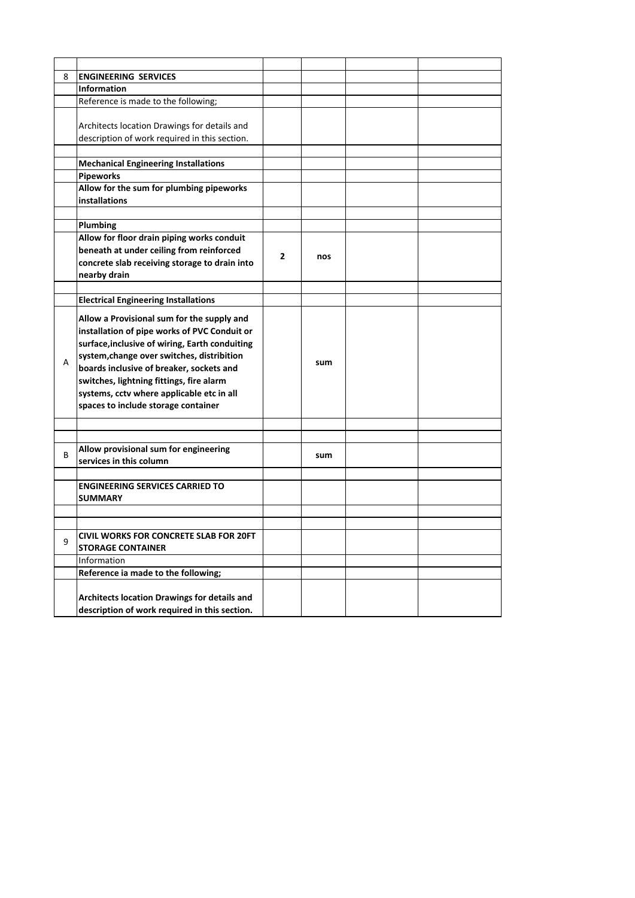| 8 | <b>ENGINEERING SERVICES</b>                                                                                                                                                                                                                                                                                                                                            |                |     |  |
|---|------------------------------------------------------------------------------------------------------------------------------------------------------------------------------------------------------------------------------------------------------------------------------------------------------------------------------------------------------------------------|----------------|-----|--|
|   | <b>Information</b>                                                                                                                                                                                                                                                                                                                                                     |                |     |  |
|   | Reference is made to the following;                                                                                                                                                                                                                                                                                                                                    |                |     |  |
|   | Architects location Drawings for details and<br>description of work required in this section.                                                                                                                                                                                                                                                                          |                |     |  |
|   | <b>Mechanical Engineering Installations</b>                                                                                                                                                                                                                                                                                                                            |                |     |  |
|   | <b>Pipeworks</b>                                                                                                                                                                                                                                                                                                                                                       |                |     |  |
|   | Allow for the sum for plumbing pipeworks                                                                                                                                                                                                                                                                                                                               |                |     |  |
|   | installations                                                                                                                                                                                                                                                                                                                                                          |                |     |  |
|   |                                                                                                                                                                                                                                                                                                                                                                        |                |     |  |
|   | Plumbing                                                                                                                                                                                                                                                                                                                                                               |                |     |  |
|   | Allow for floor drain piping works conduit                                                                                                                                                                                                                                                                                                                             |                |     |  |
|   | beneath at under ceiling from reinforced<br>concrete slab receiving storage to drain into<br>nearby drain                                                                                                                                                                                                                                                              | $\overline{2}$ | nos |  |
|   |                                                                                                                                                                                                                                                                                                                                                                        |                |     |  |
|   | <b>Electrical Engineering Installations</b>                                                                                                                                                                                                                                                                                                                            |                |     |  |
| A | Allow a Provisional sum for the supply and<br>installation of pipe works of PVC Conduit or<br>surface, inclusive of wiring, Earth conduiting<br>system, change over switches, distribition<br>boards inclusive of breaker, sockets and<br>switches, lightning fittings, fire alarm<br>systems, cctv where applicable etc in all<br>spaces to include storage container |                | sum |  |
|   |                                                                                                                                                                                                                                                                                                                                                                        |                |     |  |
|   |                                                                                                                                                                                                                                                                                                                                                                        |                |     |  |
| В | Allow provisional sum for engineering<br>services in this column                                                                                                                                                                                                                                                                                                       |                | sum |  |
|   |                                                                                                                                                                                                                                                                                                                                                                        |                |     |  |
|   | <b>ENGINEERING SERVICES CARRIED TO</b><br><b>SUMMARY</b>                                                                                                                                                                                                                                                                                                               |                |     |  |
|   |                                                                                                                                                                                                                                                                                                                                                                        |                |     |  |
|   |                                                                                                                                                                                                                                                                                                                                                                        |                |     |  |
| 9 | CIVIL WORKS FOR CONCRETE SLAB FOR 20FT<br><b>STORAGE CONTAINER</b>                                                                                                                                                                                                                                                                                                     |                |     |  |
|   | Information                                                                                                                                                                                                                                                                                                                                                            |                |     |  |
|   | Reference ia made to the following;                                                                                                                                                                                                                                                                                                                                    |                |     |  |
|   | Architects location Drawings for details and<br>description of work required in this section.                                                                                                                                                                                                                                                                          |                |     |  |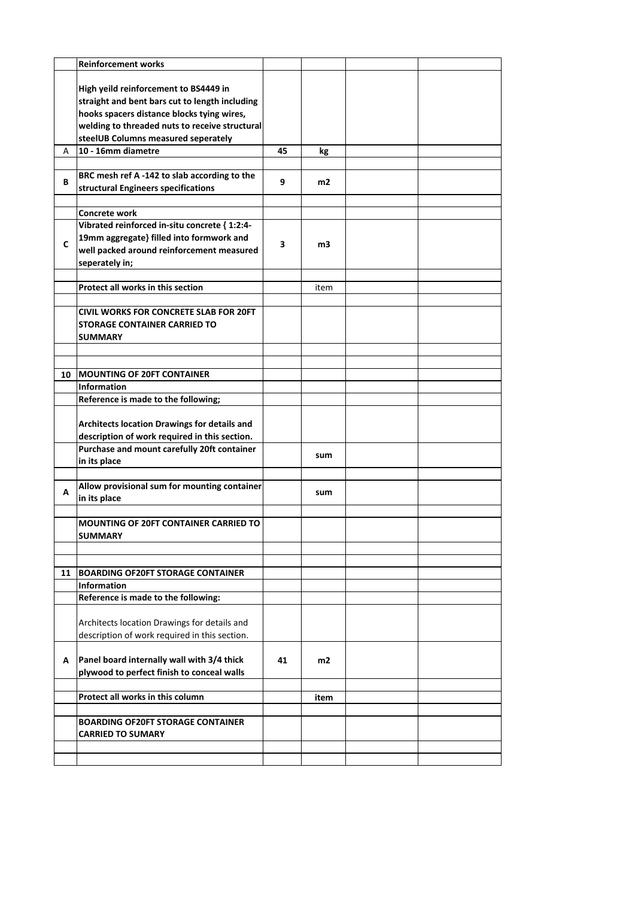|    | <b>Reinforcement works</b>                     |    |      |  |
|----|------------------------------------------------|----|------|--|
|    |                                                |    |      |  |
|    | High yeild reinforcement to BS4449 in          |    |      |  |
|    | straight and bent bars cut to length including |    |      |  |
|    | hooks spacers distance blocks tying wires,     |    |      |  |
|    | welding to threaded nuts to receive structural |    |      |  |
|    | steelUB Columns measured seperately            |    |      |  |
| A  | 10 - 16mm diametre                             | 45 | kg   |  |
|    |                                                |    |      |  |
| В  | BRC mesh ref A-142 to slab according to the    | 9  | m2   |  |
|    | structural Engineers specifications            |    |      |  |
|    |                                                |    |      |  |
|    | Concrete work                                  |    |      |  |
|    | Vibrated reinforced in-situ concrete { 1:2:4-  |    |      |  |
|    | 19mm aggregate} filled into formwork and       |    |      |  |
| C  | well packed around reinforcement measured      | 3  | m3   |  |
|    | seperately in;                                 |    |      |  |
|    |                                                |    |      |  |
|    | Protect all works in this section              |    | item |  |
|    |                                                |    |      |  |
|    | <b>CIVIL WORKS FOR CONCRETE SLAB FOR 20FT</b>  |    |      |  |
|    | <b>STORAGE CONTAINER CARRIED TO</b>            |    |      |  |
|    | <b>SUMMARY</b>                                 |    |      |  |
|    |                                                |    |      |  |
|    |                                                |    |      |  |
| 10 | <b>MOUNTING OF 20FT CONTAINER</b>              |    |      |  |
|    | <b>Information</b>                             |    |      |  |
|    | Reference is made to the following;            |    |      |  |
|    |                                                |    |      |  |
|    | Architects location Drawings for details and   |    |      |  |
|    | description of work required in this section.  |    |      |  |
|    | Purchase and mount carefully 20ft container    |    |      |  |
|    | in its place                                   |    | sum  |  |
|    |                                                |    |      |  |
|    | Allow provisional sum for mounting container   |    |      |  |
| А  | in its place                                   |    | sum  |  |
|    |                                                |    |      |  |
|    | <b>MOUNTING OF 20FT CONTAINER CARRIED TO</b>   |    |      |  |
|    |                                                |    |      |  |
|    | SUMMARY                                        |    |      |  |
|    |                                                |    |      |  |
| 11 | <b>BOARDING OF20FT STORAGE CONTAINER</b>       |    |      |  |
|    | <b>Information</b>                             |    |      |  |
|    | Reference is made to the following:            |    |      |  |
|    |                                                |    |      |  |
|    | Architects location Drawings for details and   |    |      |  |
|    | description of work required in this section.  |    |      |  |
|    |                                                |    |      |  |
|    |                                                |    |      |  |
| А  | Panel board internally wall with 3/4 thick     | 41 | m2   |  |
|    | plywood to perfect finish to conceal walls     |    |      |  |
|    |                                                |    |      |  |
|    | Protect all works in this column               |    | item |  |
|    |                                                |    |      |  |
|    | <b>BOARDING OF20FT STORAGE CONTAINER</b>       |    |      |  |
|    | <b>CARRIED TO SUMARY</b>                       |    |      |  |
|    |                                                |    |      |  |
|    |                                                |    |      |  |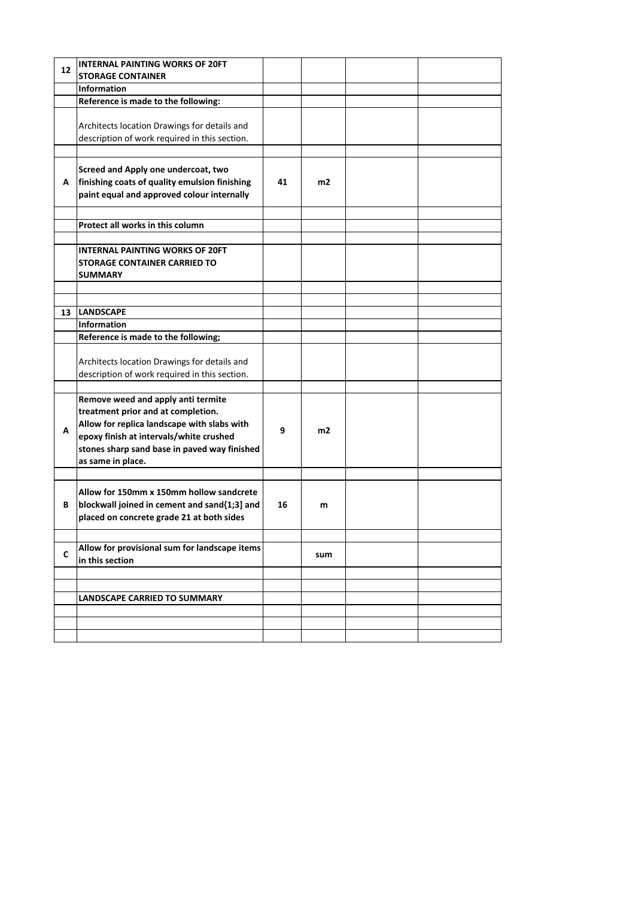| 12 | <b>INTERNAL PAINTING WORKS OF 20FT</b>                           |    |                |  |
|----|------------------------------------------------------------------|----|----------------|--|
|    | <b>STORAGE CONTAINER</b>                                         |    |                |  |
|    | <b>Information</b>                                               |    |                |  |
|    | Reference is made to the following:                              |    |                |  |
|    |                                                                  |    |                |  |
|    | Architects location Drawings for details and                     |    |                |  |
|    | description of work required in this section.                    |    |                |  |
|    |                                                                  |    |                |  |
|    | Screed and Apply one undercoat, two                              |    |                |  |
| A  | finishing coats of quality emulsion finishing                    | 41 | m <sub>2</sub> |  |
|    | paint equal and approved colour internally                       |    |                |  |
|    |                                                                  |    |                |  |
|    | Protect all works in this column                                 |    |                |  |
|    |                                                                  |    |                |  |
|    | <b>INTERNAL PAINTING WORKS OF 20FT</b>                           |    |                |  |
|    | <b>STORAGE CONTAINER CARRIED TO</b>                              |    |                |  |
|    | <b>SUMMARY</b>                                                   |    |                |  |
|    |                                                                  |    |                |  |
|    |                                                                  |    |                |  |
| 13 | <b>LANDSCAPE</b>                                                 |    |                |  |
|    | <b>Information</b>                                               |    |                |  |
|    | Reference is made to the following;                              |    |                |  |
|    |                                                                  |    |                |  |
|    | Architects location Drawings for details and                     |    |                |  |
|    | description of work required in this section.                    |    |                |  |
|    |                                                                  |    |                |  |
|    | Remove weed and apply anti termite                               |    |                |  |
|    | treatment prior and at completion.                               |    |                |  |
| A  | Allow for replica landscape with slabs with                      | 9  | m2             |  |
|    | epoxy finish at intervals/white crushed                          |    |                |  |
|    | stones sharp sand base in paved way finished                     |    |                |  |
|    | as same in place.                                                |    |                |  |
|    |                                                                  |    |                |  |
|    | Allow for 150mm x 150mm hollow sandcrete                         |    |                |  |
| В  | blockwall joined in cement and sand{1;3] and                     | 16 | m              |  |
|    | placed on concrete grade 21 at both sides                        |    |                |  |
|    |                                                                  |    |                |  |
|    |                                                                  |    |                |  |
| C  | Allow for provisional sum for landscape items<br>in this section |    | sum            |  |
|    |                                                                  |    |                |  |
|    |                                                                  |    |                |  |
|    | LANDSCAPE CARRIED TO SUMMARY                                     |    |                |  |
|    |                                                                  |    |                |  |
|    |                                                                  |    |                |  |
|    |                                                                  |    |                |  |
|    |                                                                  |    |                |  |